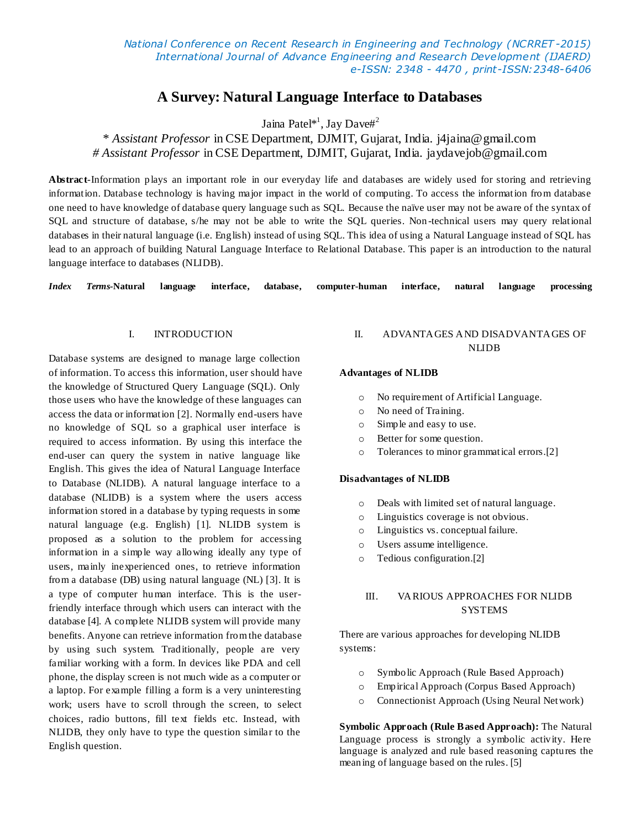*National Conference on Recent Research in Engineering and Technology (NCRRET -2015) International Journal of Advance Engineering and Research Development (IJAERD) e-ISSN: 2348 - 4470 , print-ISSN:2348-6406*

# **A Survey: Natural Language Interface to Databases**

Jaina Patel\*<sup>1</sup>, Jay Dave#<sup>2</sup>

## \* *Assistant Professor* in CSE Department, DJMIT, Gujarat, India. j4jaina@gmail.com *# Assistant Professor* in CSE Department, DJMIT, Gujarat, India. jaydavejob@gmail.com

**Abstract**-Information plays an important role in our everyday life and databases are widely used for storing and retrieving information. Database technology is having major impact in the world of computing. To access the information from database one need to have knowledge of database query language such as SQL. Because the naïve user may not be aware of the syntax of SQL and structure of database, s/he may not be able to write the SQL queries. Non-technical users may query relational databases in their natural language (i.e. English) instead of using SQL. This idea of using a Natural Language instead of SQL has lead to an approach of building Natural Language Interface to Relational Database. This paper is an introduction to the natural language interface to databases (NLIDB).

*Index Terms-***Natural language interface, database, computer-human interface, natural language processing**

## I. INTRODUCTION

Database systems are designed to manage large collection of information. To access this information, user should have the knowledge of Structured Query Language (SQL). Only those users who have the knowledge of these languages can access the data or information [2]. Normally end-users have no knowledge of SQL so a graphical user interface is required to access information. By using this interface the end-user can query the system in native language like English. This gives the idea of Natural Language Interface to Database (NLIDB). A natural language interface to a database (NLIDB) is a system where the users access information stored in a database by typing requests in some natural language (e.g. English) [1]. NLIDB system is proposed as a solution to the problem for accessing information in a simple way allowing ideally any type of users, mainly inexperienced ones, to retrieve information from a database (DB) using natural language (NL) [3]. It is a type of computer human interface. This is the userfriendly interface through which users can interact with the database [4]. A complete NLIDB system will provide many benefits. Anyone can retrieve information from the database by using such system. Traditionally, people are very familiar working with a form. In devices like PDA and cell phone, the display screen is not much wide as a computer or a laptop. For example filling a form is a very uninteresting work; users have to scroll through the screen, to select choices, radio buttons, fill text fields etc. Instead, with NLIDB, they only have to type the question similar to the English question.

## II. ADVANTAGES AND DISADVANTAGES OF NLIDB

#### **Advantages of NLIDB**

- o No requirement of Artificial Language.
- o No need of Training.
- o Simple and easy to use.
- o Better for some question.
- o Tolerances to minor grammatical errors.[2]

#### **Disadvantages of NLIDB**

- o Deals with limited set of natural language.
- o Linguistics coverage is not obvious.
- o Linguistics vs. conceptual failure.
- o Users assume intelligence.
- o Tedious configuration.[2]

## III. VARIOUS APPROACHES FOR NLIDB **SYSTEMS**

There are various approaches for developing NLIDB systems:

- o Symbolic Approach (Rule Based Approach)
- o Empirical Approach (Corpus Based Approach)
- o Connectionist Approach (Using Neural Network)

**Symbolic Approach (Rule Based Approach):** The Natural Language process is strongly a symbolic activity. Here language is analyzed and rule based reasoning captures the meaning of language based on the rules. [5]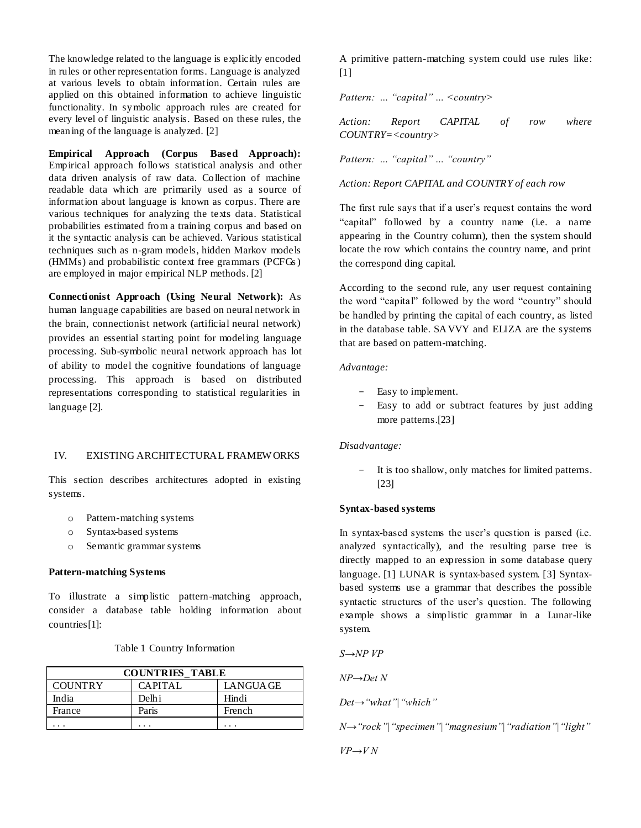The knowledge related to the language is explicitly encoded in rules or other representation forms. Language is analyzed at various levels to obtain information. Certain rules are applied on this obtained information to achieve linguistic functionality. In symbolic approach rules are created for every level of linguistic analysis. Based on these rules, the meaning of the language is analyzed. [2]

**Empirical Approach (Corpus Based Approach):** Empirical approach follows statistical analysis and other data driven analysis of raw data. Collection of machine readable data which are primarily used as a source of information about language is known as corpus. There are various techniques for analyzing the texts data. Statistical probabilities estimated from a training corpus and based on it the syntactic analysis can be achieved. Various statistical techniques such as n-gram models, hidden Markov models (HMMs) and probabilistic context free grammars (PCFGs ) are employed in major empirical NLP methods. [2]

**Connectionist Approach (Using Neural Network):** As human language capabilities are based on neural network in the brain, connectionist network (artificial neural network) provides an essential starting point for modeling language processing. Sub-symbolic neural network approach has lot of ability to model the cognitive foundations of language processing. This approach is based on distributed representations corresponding to statistical regularities in language [2].

### IV. EXISTING ARCHITECTURAL FRAMEW ORKS

This section describes architectures adopted in existing systems.

- o Pattern-matching systems
- o Syntax-based systems
- o Semantic grammar systems

#### **Pattern-matching Systems**

To illustrate a simplistic pattern-matching approach, consider a database table holding information about countries[1]:

#### Table 1 Country Information

| <b>COUNTRIES TABLE</b> |                      |           |  |  |  |
|------------------------|----------------------|-----------|--|--|--|
| <b>COUNTRY</b>         | <b>CAPITAL</b>       | LANGUA GE |  |  |  |
| India                  | Delhi                | Hindi     |  |  |  |
| France                 | Paris                | French    |  |  |  |
|                        | $\ddot{\phantom{1}}$ | .         |  |  |  |

A primitive pattern-matching system could use rules like: [1]

*Pattern: … "capital" … <country>*

*Action: Report CAPITAL of row where COUNTRY=<country>*

*Pattern: … "capital" … "country"*

*Action: Report CAPITAL and COUNTRY of each row*

The first rule says that if a user's request contains the word "capital" followed by a country name (i.e. a name appearing in the Country column), then the system should locate the row which contains the country name, and print the correspond ding capital.

According to the second rule, any user request containing the word "capital" followed by the word "country" should be handled by printing the capital of each country, as listed in the database table. SAVVY and ELIZA are the systems that are based on pattern-matching.

#### *Advantage:*

- Easy to implement.
- Easy to add or subtract features by just adding more patterns.[23]

#### *Disadvantage:*

It is too shallow, only matches for limited patterns. [23]

#### **Syntax-based systems**

In syntax-based systems the user's question is parsed (i.e. analyzed syntactically), and the resulting parse tree is directly mapped to an expression in some database query language. [1] LUNAR is syntax-based system. [3] Syntaxbased systems use a grammar that describes the possible syntactic structures of the user's question. The following example shows a simplistic grammar in a Lunar-like system.

*S→NP VP*

*NP→Det N*

*Det→"what"|"which"*

*N→"rock"|"specimen"|"magnesium"|"radiation"|"light"*

*VP→V N*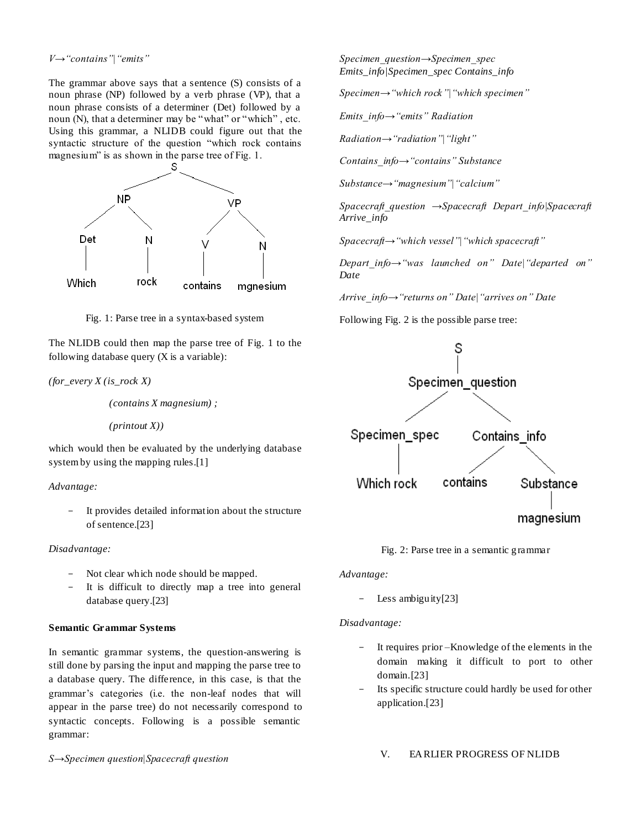*V→"contains"|"emits"*

The grammar above says that a sentence (S) consists of a noun phrase (NP) followed by a verb phrase (VP), that a noun phrase consists of a determiner (Det) followed by a noun (N), that a determiner may be "what" or "which" , etc. Using this grammar, a NLIDB could figure out that the syntactic structure of the question "which rock contains magnesium" is as shown in the parse tree of Fig. 1.



Fig. 1: Parse tree in a syntax-based system

The NLIDB could then map the parse tree of Fig. 1 to the following database query (X is a variable):

*(for\_every X (is\_rock X)*

 *(contains X magnesium) ;*

 *(printout X))*

which would then be evaluated by the underlying database systemby using the mapping rules.[1]

## *Advantage:*

- It provides detailed information about the structure of sentence.[23]

## *Disadvantage:*

- Not clear which node should be mapped.
- It is difficult to directly map a tree into general database query.[23]

## **Semantic Grammar Systems**

In semantic grammar systems, the question-answering is still done by parsing the input and mapping the parse tree to a database query. The difference, in this case, is that the grammar's categories (i.e. the non-leaf nodes that will appear in the parse tree) do not necessarily correspond to syntactic concepts. Following is a possible semantic grammar:

*S→Specimen question|Spacecraft question*

*Specimen\_question→Specimen\_spec Emits\_info|Specimen\_spec Contains\_info*

*Specimen→"which rock"|"which specimen"*

*Emits\_info→"emits" Radiation*

*Radiation→"radiation"|"light"*

*Contains\_info→"contains" Substance*

*Substance→"magnesium"|"calcium"*

*Spacecraft\_question →Spacecraft Depart\_info|Spacecraft Arrive\_info*

*Spacecraft→"which vessel"|"which spacecraft"*

*Depart\_info→"was launched on" Date|"departed on" Date*

*Arrive\_info→"returns on" Date|"arrives on" Date*





Fig. 2: Parse tree in a semantic grammar

*Advantage:*

- Less ambiguity[23]

## *Disadvantage:*

- It requires prior –Knowledge of the elements in the domain making it difficult to port to other domain.[23]
- Its specific structure could hardly be used for other application.[23]

## V. EARLIER PROGRESS OF NLIDB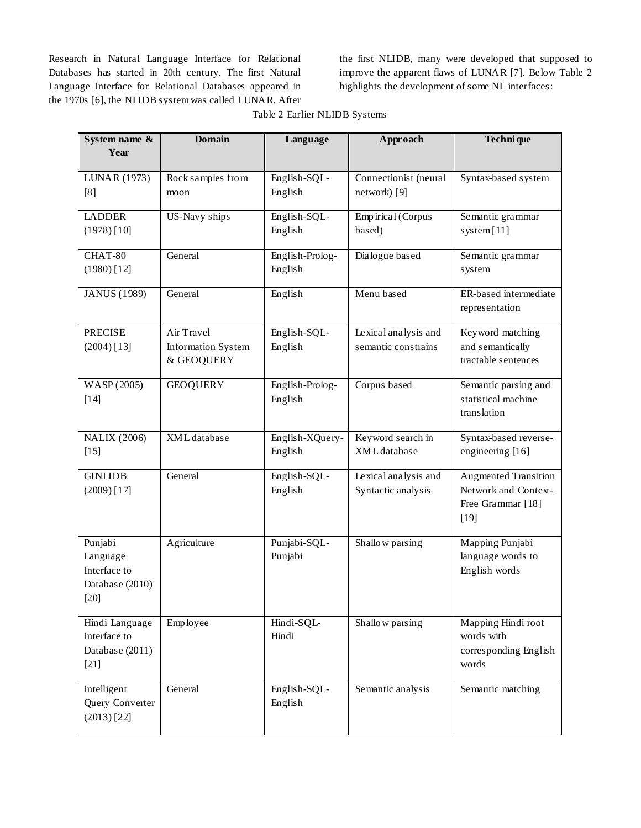Research in Natural Language Interface for Relational Databases has started in 20th century. The first Natural Language Interface for Relational Databases appeared in the 1970s [6], the NLIDB system was called LUNAR. After

the first NLIDB, many were developed that supposed to improve the apparent flaws of LUNAR [7]. Below Table 2 highlights the development of some NL interfaces:

| System name &                                                  | <b>Domain</b>                                         | Language                   | Approach                                    | Techni que                                                                         |
|----------------------------------------------------------------|-------------------------------------------------------|----------------------------|---------------------------------------------|------------------------------------------------------------------------------------|
| Year                                                           |                                                       |                            |                                             |                                                                                    |
| LUNAR (1973)<br>[8]                                            | Rock samples from<br>moon                             | English-SQL-<br>English    | Connectionist (neural<br>network) [9]       | Syntax-based system                                                                |
| <b>LADDER</b><br>$(1978)$ [10]                                 | <b>US-Navy ships</b>                                  | English-SQL-<br>English    | Empirical (Corpus<br>based)                 | Semantic grammar<br>system [11]                                                    |
| CHAT-80<br>$(1980)$ [12]                                       | General                                               | English-Prolog-<br>English | Dialogue based                              | Semantic grammar<br>system                                                         |
| <b>JANUS</b> (1989)                                            | General                                               | English                    | Menu based                                  | ER-based intermediate<br>representation                                            |
| <b>PRECISE</b><br>$(2004)$ [13]                                | Air Travel<br><b>Information System</b><br>& GEOQUERY | English-SQL-<br>English    | Lexical analysis and<br>semantic constrains | Keyword matching<br>and semantically<br>tractable sentences                        |
| WASP (2005)<br>$[14]$                                          | <b>GEOQUERY</b>                                       | English-Prolog-<br>English | Corpus based                                | Semantic parsing and<br>statistical machine<br>translation                         |
| <b>NALIX (2006)</b><br>$[15]$                                  | XML database                                          | English-XQuery-<br>English | Keyword search in<br>XML database           | Syntax-based reverse-<br>engineering [16]                                          |
| <b>GINLIDB</b><br>$(2009)$ [17]                                | General                                               | English-SQL-<br>English    | Lexical analysis and<br>Syntactic analysis  | <b>Augmented Transition</b><br>Network and Context-<br>Free Grammar [18]<br>$[19]$ |
| Punjabi<br>Language<br>Interface to<br>Database (2010)<br>[20] | Agriculture                                           | Punjabi-SQL-<br>Punjabi    | Shallow parsing                             | Mapping Punjabi<br>language words to<br>English words                              |
| Hindi Language<br>Interface to<br>Database (2011)<br>$[21]$    | Employee                                              | Hindi-SQL-<br>Hindi        | Shallow parsing                             | Mapping Hindi root<br>words with<br>corresponding English<br>words                 |
| Intelligent<br>Query Converter<br>$(2013)$ [22]                | General                                               | English-SQL-<br>English    | Semantic analysis                           | Semantic matching                                                                  |

|  | Table 2 Earlier NLIDB Systems |
|--|-------------------------------|
|  |                               |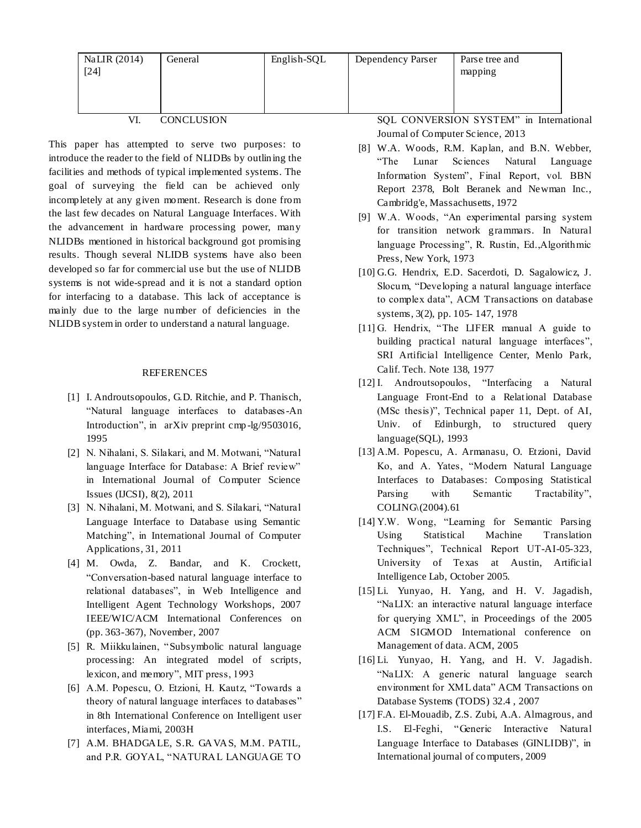| NaLIR (2014)<br>$[24]$ | General | English-SQL | Dependency Parser | Parse tree and<br>mapping |
|------------------------|---------|-------------|-------------------|---------------------------|
|                        |         |             |                   |                           |

VI. CONCLUSION

This paper has attempted to serve two purposes: to introduce the reader to the field of NLIDBs by outlining the facilities and methods of typical implemented systems. The goal of surveying the field can be achieved only incompletely at any given moment. Research is done from the last few decades on Natural Language Interfaces. With the advancement in hardware processing power, many NLIDBs mentioned in historical background got promising results. Though several NLIDB systems have also been developed so far for commercial use but the use of NLIDB systems is not wide-spread and it is not a standard option for interfacing to a database. This lack of acceptance is mainly due to the large number of deficiencies in the NLIDB system in order to understand a natural language.

### REFERENCES

- [1] I. Androutsopoulos, G.D. Ritchie, and P. Thanisch, "Natural language interfaces to databases-An Introduction", in arXiv preprint cmp -lg/9503016, 1995
- [2] N. Nihalani, S. Silakari, and M. Motwani, "Natural language Interface for Database: A Brief review" in International Journal of Computer Science Issues (IJCSI), 8(2), 2011
- [3] N. Nihalani, M. Motwani, and S. Silakari, "Natural Language Interface to Database using Semantic Matching", in International Journal of Computer Applications, 31, 2011
- [4] M. Owda, Z. Bandar, and K. Crockett, "Conversation-based natural language interface to relational databases", in Web Intelligence and Intelligent Agent Technology Workshops, 2007 IEEE/WIC/ACM International Conferences on (pp. 363-367), November, 2007
- [5] R. Miikkulainen, "Subsymbolic natural language processing: An integrated model of scripts, lexicon, and memory", MIT press, 1993
- [6] A.M. Popescu, O. Etzioni, H. Kautz, "Towards a theory of natural language interfaces to databases" in 8th International Conference on Intelligent user interfaces, Miami, 2003H
- [7] A.M. BHADGALE, S.R. GAVAS, M.M. PATIL, and P.R. GOYAL, "NATURAL LANGUAGE TO

SQL CONVERSION SYSTEM" in International Journal of Computer Science, 2013

- [8] W.A. Woods, R.M. Kaplan, and B.N. Webber, "The Lunar Sciences Natural Language Information System", Final Report, vol. BBN Report 2378, Bolt Beranek and Newman Inc., Cambridg'e, Massachusetts, 1972
- [9] W.A. Woods, "An experimental parsing system for transition network grammars. In Natural language Processing", R. Rustin, Ed.,Algorithmic Press, New York, 1973
- [10] G.G. Hendrix, E.D. Sacerdoti, D. Sagalowicz, J. Slocum, "Developing a natural language interface to complex data", ACM Transactions on database systems, 3(2), pp. 105- 147, 1978
- [11] G. Hendrix, "The LIFER manual A guide to building practical natural language interfaces", SRI Artificial Intelligence Center, Menlo Park, Calif. Tech. Note 138, 1977
- [12] I. Androutsopoulos, "Interfacing a Natural Language Front-End to a Relational Database (MSc thesis)", Technical paper 11, Dept. of AI, Univ. of Edinburgh, to structured query language(SQL), 1993
- [13] A.M. Popescu, A. Armanasu, O. Etzioni, David Ko, and A. Yates, "Modern Natural Language Interfaces to Databases: Composing Statistical Parsing with Semantic Tractability", COLING\(2004).61
- [14] Y.W. Wong, "Learning for Semantic Parsing Using Statistical Machine Translation Techniques", Technical Report UT-AI-05-323, University of Texas at Austin, Artificial Intelligence Lab, October 2005.
- [15] Li. Yunyao, H. Yang, and H. V. Jagadish, "NaLIX: an interactive natural language interface for querying XML", in Proceedings of the 2005 ACM SIGMOD International conference on Management of data. ACM, 2005
- [16] Li. Yunyao, H. Yang, and H. V. Jagadish. "NaLIX: A generic natural language search environment for XML data" ACM Transactions on Database Systems (TODS) 32.4 , 2007
- [17] F.A. El-Mouadib, Z.S. Zubi, A.A. Almagrous, and I.S. El-Feghi, "Generic Interactive Natural Language Interface to Databases (GINLIDB)", in International journal of computers, 2009